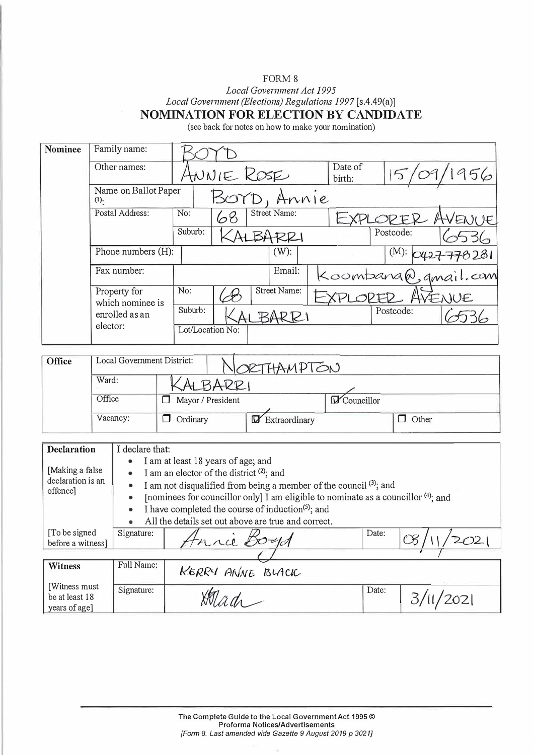## FORM 8

*Local Government Act 1995* 

*Local Government (Elections) Regulations 1997* [s.4.49(a)]

**NOMINATION FOR ELECTION BY CANDIDATE** 

(see back for notes on how to make your nomination)

| <b>Nominee</b>                                    | Family name:<br>Other names:                                   |                                                                                                                                                                                                           |                                                     |                              |                   |  |           |              |  |
|---------------------------------------------------|----------------------------------------------------------------|-----------------------------------------------------------------------------------------------------------------------------------------------------------------------------------------------------------|-----------------------------------------------------|------------------------------|-------------------|--|-----------|--------------|--|
|                                                   |                                                                |                                                                                                                                                                                                           |                                                     | ANNIE ROSE                   | Date of<br>birth: |  | 156       |              |  |
|                                                   | Name on Ballot Paper<br>(1).                                   |                                                                                                                                                                                                           |                                                     | BOYD, Annie                  |                   |  |           |              |  |
|                                                   | Postal Address:                                                |                                                                                                                                                                                                           | No:<br>68                                           | Street Name:                 | EXPLOPER          |  | VENUE     |              |  |
|                                                   |                                                                |                                                                                                                                                                                                           | Suburb:                                             | ALBARRI                      |                   |  | Postcode: |              |  |
|                                                   |                                                                | Phone numbers (H):                                                                                                                                                                                        |                                                     | $(W)$ :                      | (M): O(127)       |  |           | 778281       |  |
|                                                   | Fax number:                                                    |                                                                                                                                                                                                           |                                                     | Email:<br>Koombana@gmail.com |                   |  |           |              |  |
|                                                   | Property for<br>which nominee is<br>enrolled as an<br>elector: |                                                                                                                                                                                                           | No:                                                 | <b>Street Name:</b><br>VENUE |                   |  |           |              |  |
|                                                   |                                                                |                                                                                                                                                                                                           | Suburb:                                             | BARRI                        |                   |  | Postcode: |              |  |
|                                                   |                                                                |                                                                                                                                                                                                           |                                                     | Lot/Location No:             |                   |  |           |              |  |
| Local Government District:<br>Office              |                                                                |                                                                                                                                                                                                           |                                                     |                              |                   |  |           |              |  |
|                                                   | Ward:                                                          |                                                                                                                                                                                                           |                                                     | RIHAMPTON                    |                   |  |           |              |  |
|                                                   | Office                                                         |                                                                                                                                                                                                           | ALBARRI<br><b>D</b> Councillor<br>Mayor / President |                              |                   |  |           |              |  |
|                                                   |                                                                |                                                                                                                                                                                                           |                                                     |                              |                   |  |           |              |  |
|                                                   | Vacancy:                                                       |                                                                                                                                                                                                           | $\Box$ Ordinary                                     | Extraordinary                |                   |  |           | $\Box$ Other |  |
| I declare that:<br><b>Declaration</b>             |                                                                |                                                                                                                                                                                                           |                                                     |                              |                   |  |           |              |  |
| [Making a false<br>declaration is an<br>offence]  |                                                                | I am at least 18 years of age; and<br>I am an elector of the district $(2)$ ; and<br>I am not disqualified from being a member of the council $(3)$ ; and<br>$\bullet$                                    |                                                     |                              |                   |  |           |              |  |
|                                                   |                                                                | [nominees for councillor only] I am eligible to nominate as a councillor (4); and<br>I have completed the course of induction <sup>(5)</sup> ; and<br>All the details set out above are true and correct. |                                                     |                              |                   |  |           |              |  |
| [To be signed<br>before a witness]                |                                                                | Signature:                                                                                                                                                                                                | Date:<br>Frice Boyd                                 |                              |                   |  | 202       |              |  |
| Witness                                           |                                                                | Full Name:                                                                                                                                                                                                |                                                     |                              |                   |  |           |              |  |
|                                                   |                                                                |                                                                                                                                                                                                           |                                                     | KERRY ANNE BLACK             |                   |  |           |              |  |
| [Witness must]<br>be at least 18<br>years of age] |                                                                | Signature:                                                                                                                                                                                                |                                                     | Date:                        |                   |  |           | 3/11/2021    |  |